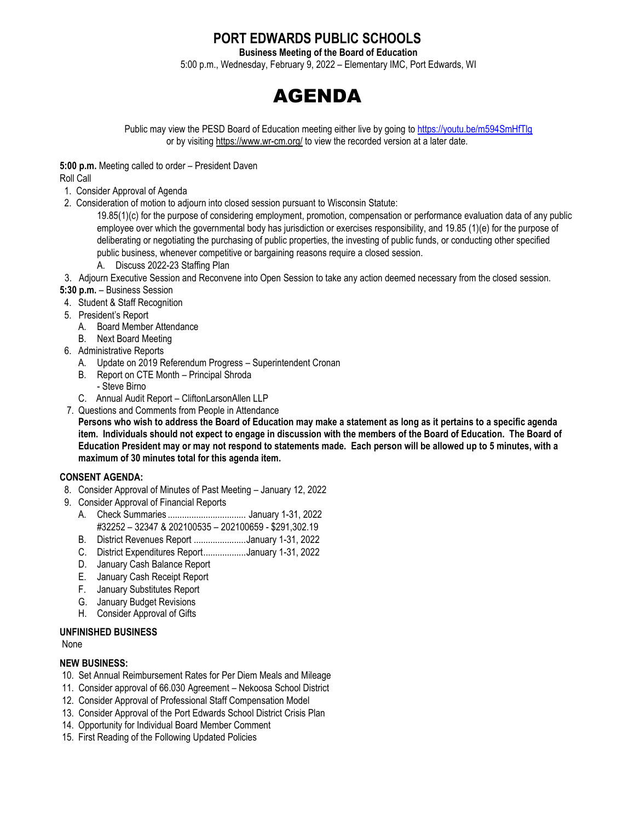## **PORT EDWARDS PUBLIC SCHOOLS**

**Business Meeting of the Board of Education**

5:00 p.m., Wednesday, February 9, 2022 – Elementary IMC, Port Edwards, WI



Public may view the PESD Board of Education meeting either live by going to <https://youtu.be/m594SmHfTlg> or by visitin[g https://www.wr-cm.org/](https://www.wr-cm.org/) to view the recorded version at a later date.

**5:00 p.m.** Meeting called to order – President Daven

Roll Call

- 1. Consider Approval of Agenda
- 2. Consideration of motion to adjourn into closed session pursuant to Wisconsin Statute:

19.85(1)(c) for the purpose of considering employment, promotion, compensation or performance evaluation data of any public employee over which the governmental body has jurisdiction or exercises responsibility, and 19.85 (1)(e) for the purpose of deliberating or negotiating the purchasing of public properties, the investing of public funds, or conducting other specified public business, whenever competitive or bargaining reasons require a closed session.

- A. Discuss 2022-23 Staffing Plan
- 3. Adjourn Executive Session and Reconvene into Open Session to take any action deemed necessary from the closed session.
- **5:30 p.m.**  Business Session
- 4. Student & Staff Recognition
- 5. President's Report
	- A. Board Member Attendance
	- B. Next Board Meeting
- 6. Administrative Reports
	- A. Update on 2019 Referendum Progress Superintendent Cronan
	- B. Report on CTE Month Principal Shroda
	- Steve Birno C. Annual Audit Report – CliftonLarsonAllen LLP
- 7. Questions and Comments from People in Attendance

**Persons who wish to address the Board of Education may make a statement as long as it pertains to a specific agenda item. Individuals should not expect to engage in discussion with the members of the Board of Education. The Board of Education President may or may not respond to statements made. Each person will be allowed up to 5 minutes, with a maximum of 30 minutes total for this agenda item.**

## **CONSENT AGENDA:**

- 8. Consider Approval of Minutes of Past Meeting January 12, 2022
- 9. Consider Approval of Financial Reports
	- A. Check Summaries ................................. January 1-31, 2022 #32252 – 32347 & 202100535 – 202100659 - \$291,302.19
	- B. District Revenues Report ......................January 1-31, 2022
	- C. District Expenditures Report..................January 1-31, 2022
	- D. January Cash Balance Report
	- E. January Cash Receipt Report
	- F. January Substitutes Report
	- G. January Budget Revisions
	- H. Consider Approval of Gifts

## **UNFINISHED BUSINESS**

None

## **NEW BUSINESS:**

- 10. Set Annual Reimbursement Rates for Per Diem Meals and Mileage
- 11. Consider approval of 66.030 Agreement Nekoosa School District
- 12. Consider Approval of Professional Staff Compensation Model
- 13. Consider Approval of the Port Edwards School District Crisis Plan
- 14. Opportunity for Individual Board Member Comment
- 15. First Reading of the Following Updated Policies